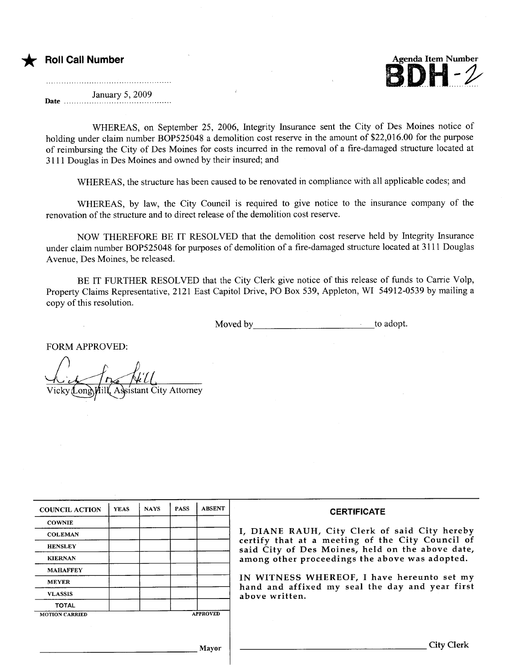

January 5, 2009 Date ...........................................

WHEREAS, on September 25, 2006, Integrity Insurance sent the City of Des Moines notice of holding under claim number BOP525048 a demolition cost reserve in the amount of \$22,016.00 for the purpose of reimbursing the City of Des Moines for costs incurred in the removal of a fire-damaged structure located at 3 1 1 1 Douglas in Des Moines and owned by their insured; and

WHEREAS, the structure has been caused to be renovated in compliance with all applicable codes; and

WHEREAS, by law, the City Council is required to give notice to the insurance company of the renovation of the structure and to direct release of the demolition cost reserve.

NOW THEREFORE BE IT RESOLVED that the demolition cost reserve held by Integrity Insurance under claim number BOP525048 for purposes of demolition of a fire-damaged structure located at 3111 Douglas Avenue, Des Moines, be released.

BE IT FURTHER RESOLVED that the City Clerk give notice of this release of funds to Carrie Volp, Property Claims Representative, 2121 East Capitol Drive, PO Box 539, Appleton, WI 54912-0539 by mailing a copy of this resolution.

Moved by to adopt.

FORM APPROVED:

 $\sqrt{\frac{1}{\text{Vick}}}$ Hill, Assistant City Attorney  $\alpha$ nd

| <b>COUNCIL ACTION</b> | <b>YEAS</b> | <b>NAYS</b> | <b>PASS</b> | <b>ABSENT</b>   | <b>CERTIFICATE</b>                                                                                                                                                                                      |
|-----------------------|-------------|-------------|-------------|-----------------|---------------------------------------------------------------------------------------------------------------------------------------------------------------------------------------------------------|
| <b>COWNIE</b>         |             |             |             |                 |                                                                                                                                                                                                         |
| <b>COLEMAN</b>        |             |             |             |                 | I, DIANE RAUH, City Clerk of said City hereby<br>certify that at a meeting of the City Council of<br>said City of Des Moines, held on the above date,<br>among other proceedings the above was adopted. |
| <b>HENSLEY</b>        |             |             |             |                 |                                                                                                                                                                                                         |
| <b>KIERNAN</b>        |             |             |             |                 |                                                                                                                                                                                                         |
| <b>MAHAFFEY</b>       |             |             |             |                 |                                                                                                                                                                                                         |
| <b>MEYER</b>          |             |             |             |                 | IN WITNESS WHEREOF, I have hereunto set my<br>hand and affixed my seal the day and year first<br>above written.                                                                                         |
| <b>VLASSIS</b>        |             |             |             |                 |                                                                                                                                                                                                         |
| <b>TOTAL</b>          |             |             |             |                 |                                                                                                                                                                                                         |
| <b>MOTION CARRIED</b> |             |             |             | <b>APPROVED</b> |                                                                                                                                                                                                         |
|                       |             |             |             |                 |                                                                                                                                                                                                         |
|                       |             |             |             | Mayor           | City Clerk                                                                                                                                                                                              |